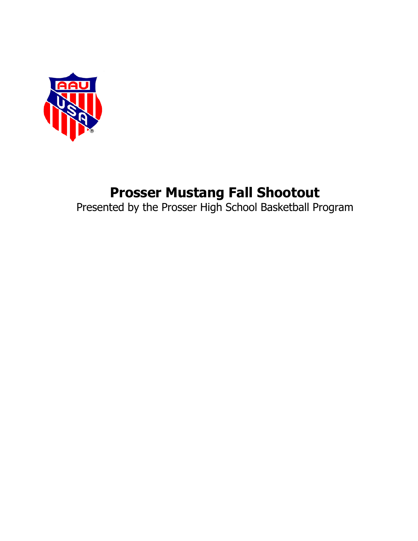

# **Prosser Mustang Fall Shootout**

Presented by the Prosser High School Basketball Program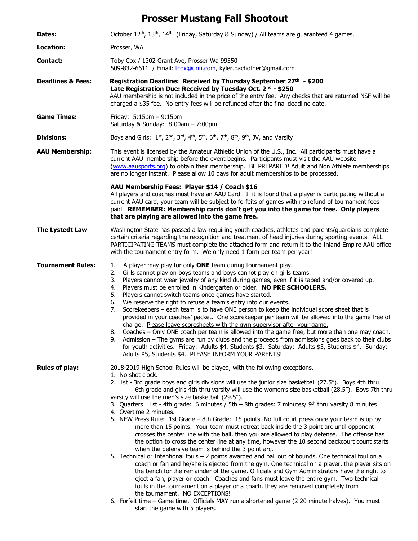## **Prosser Mustang Fall Shootout**

| Dates:                       | October 12 <sup>th</sup> , 13 <sup>th</sup> , 14 <sup>th</sup> (Friday, Saturday & Sunday) / All teams are quaranteed 4 games.                                                                                                                                                                                                                                                                                                                                                                                                                                                                                                                                                                                                                                                                                                                                                                                                                                                                                                                                                                                                                                                                                                                                                                                                                                                                                                                                                                                                                                                                                           |
|------------------------------|--------------------------------------------------------------------------------------------------------------------------------------------------------------------------------------------------------------------------------------------------------------------------------------------------------------------------------------------------------------------------------------------------------------------------------------------------------------------------------------------------------------------------------------------------------------------------------------------------------------------------------------------------------------------------------------------------------------------------------------------------------------------------------------------------------------------------------------------------------------------------------------------------------------------------------------------------------------------------------------------------------------------------------------------------------------------------------------------------------------------------------------------------------------------------------------------------------------------------------------------------------------------------------------------------------------------------------------------------------------------------------------------------------------------------------------------------------------------------------------------------------------------------------------------------------------------------------------------------------------------------|
| Location:                    | Prosser, WA                                                                                                                                                                                                                                                                                                                                                                                                                                                                                                                                                                                                                                                                                                                                                                                                                                                                                                                                                                                                                                                                                                                                                                                                                                                                                                                                                                                                                                                                                                                                                                                                              |
| Contact:                     | Toby Cox / 1302 Grant Ave, Prosser Wa 99350<br>509-832-6611 / Email: tcox@unfi.com, kyler.bachofner@gmail.com                                                                                                                                                                                                                                                                                                                                                                                                                                                                                                                                                                                                                                                                                                                                                                                                                                                                                                                                                                                                                                                                                                                                                                                                                                                                                                                                                                                                                                                                                                            |
| <b>Deadlines &amp; Fees:</b> | Registration Deadline: Received by Thursday September 27th - \$200<br>Late Registration Due: Received by Tuesday Oct. 2nd - \$250<br>AAU membership is not included in the price of the entry fee. Any checks that are returned NSF will be<br>charged a \$35 fee. No entry fees will be refunded after the final deadline date.                                                                                                                                                                                                                                                                                                                                                                                                                                                                                                                                                                                                                                                                                                                                                                                                                                                                                                                                                                                                                                                                                                                                                                                                                                                                                         |
| <b>Game Times:</b>           | Friday: $5:15 \text{pm} - 9:15 \text{pm}$<br>Saturday & Sunday: 8:00am - 7:00pm                                                                                                                                                                                                                                                                                                                                                                                                                                                                                                                                                                                                                                                                                                                                                                                                                                                                                                                                                                                                                                                                                                                                                                                                                                                                                                                                                                                                                                                                                                                                          |
| <b>Divisions:</b>            | Boys and Girls: 1st, 2nd, 3rd, 4th, 5th, 6th, 7th, 8th, 9th, JV, and Varsity                                                                                                                                                                                                                                                                                                                                                                                                                                                                                                                                                                                                                                                                                                                                                                                                                                                                                                                                                                                                                                                                                                                                                                                                                                                                                                                                                                                                                                                                                                                                             |
| <b>AAU Membership:</b>       | This event is licensed by the Amateur Athletic Union of the U.S., Inc. All participants must have a<br>current AAU membership before the event begins. Participants must visit the AAU website<br>(www.aausports.org) to obtain their membership. BE PREPARED! Adult and Non Athlete memberships<br>are no longer instant. Please allow 10 days for adult memberships to be processed.                                                                                                                                                                                                                                                                                                                                                                                                                                                                                                                                                                                                                                                                                                                                                                                                                                                                                                                                                                                                                                                                                                                                                                                                                                   |
|                              | AAU Membership Fees: Player \$14 / Coach \$16<br>All players and coaches must have an AAU Card. If it is found that a player is participating without a<br>current AAU card, your team will be subject to forfeits of games with no refund of tournament fees<br>paid. REMEMBER: Membership cards don't get you into the game for free. Only players<br>that are playing are allowed into the game free.                                                                                                                                                                                                                                                                                                                                                                                                                                                                                                                                                                                                                                                                                                                                                                                                                                                                                                                                                                                                                                                                                                                                                                                                                 |
| The Lystedt Law              | Washington State has passed a law requiring youth coaches, athletes and parents/guardians complete<br>certain criteria regarding the recognition and treatment of head injuries during sporting events. ALL<br>PARTICIPATING TEAMS must complete the attached form and return it to the Inland Empire AAU office<br>with the tournament entry form. We only need 1 form per team per year!                                                                                                                                                                                                                                                                                                                                                                                                                                                                                                                                                                                                                                                                                                                                                                                                                                                                                                                                                                                                                                                                                                                                                                                                                               |
| <b>Tournament Rules:</b>     | A player may play for only <b>ONE</b> team during tournament play.<br>1.<br>Girls cannot play on boys teams and boys cannot play on girls teams.<br>2.<br>Players cannot wear jewelry of any kind during games, even if it is taped and/or covered up.<br>3.<br>Players must be enrolled in Kindergarten or older. NO PRE SCHOOLERS.<br>4.<br>Players cannot switch teams once games have started.<br>5.<br>We reserve the right to refuse a team's entry into our events.<br>6.<br>Scorekeepers - each team is to have ONE person to keep the individual score sheet that is<br>7.<br>provided in your coaches' packet. One scorekeeper per team will be allowed into the game free of<br>charge. Please leave scoresheets with the gym supervisor after your game.<br>8. Coaches - Only ONE coach per team is allowed into the game free, but more than one may coach.<br>Admission - The gyms are run by clubs and the proceeds from admissions goes back to their clubs<br>9.<br>for youth activities. Friday: Adults \$4, Students \$3. Saturday: Adults \$5, Students \$4. Sunday:<br>Adults \$5, Students \$4. PLEASE INFORM YOUR PARENTS!                                                                                                                                                                                                                                                                                                                                                                                                                                                                        |
| <b>Rules of play:</b>        | 2018-2019 High School Rules will be played, with the following exceptions.<br>1. No shot clock.<br>2. 1st - 3rd grade boys and girls divisions will use the junior size basketball (27.5"). Boys 4th thru<br>6th grade and girls 4th thru varsity will use the women's size basketball (28.5"). Boys 7th thru<br>varsity will use the men's size basketball (29.5").<br>3. Quarters: 1st - 4th grade: 6 minutes / 5th - 8th grades: 7 minutes/ $9th$ thru varsity 8 minutes<br>4. Overtime 2 minutes.<br>5. NEW Press Rule: 1st Grade - 8th Grade: 15 points. No full court press once your team is up by<br>more than 15 points. Your team must retreat back inside the 3 point arc until opponent<br>crosses the center line with the ball, then you are allowed to play defense. The offense has<br>the option to cross the center line at any time, however the 10 second backcourt count starts<br>when the defensive team is behind the 3 point arc.<br>5. Technical or Intentional fouls - 2 points awarded and ball out of bounds. One technical foul on a<br>coach or fan and he/she is ejected from the gym. One technical on a player, the player sits on<br>the bench for the remainder of the game. Officials and Gym Administrators have the right to<br>eject a fan, player or coach. Coaches and fans must leave the entire gym. Two technical<br>fouls in the tournament on a player or a coach, they are removed completely from<br>the tournament. NO EXCEPTIONS!<br>6. Forfeit time - Game time. Officials MAY run a shortened game (2 20 minute halves). You must<br>start the game with 5 players. |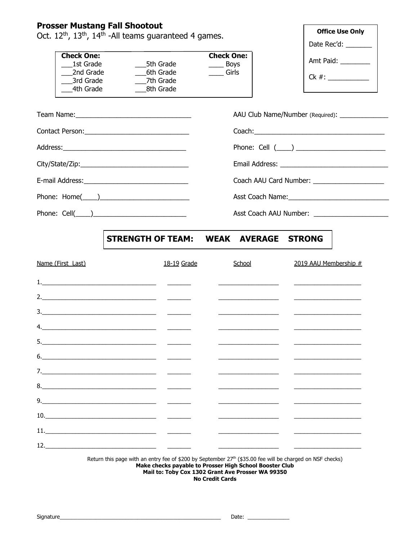### **Prosser Mustang Fall Shootout**

Oct. 12<sup>th</sup>, 13<sup>th</sup>, 14<sup>th</sup> -All teams guaranteed 4 games.

|           | <b>Check One:</b> |
|-----------|-------------------|
| 5th Grade | <b>Boys</b>       |
| 6th Grade | Girls             |
| 7th Grade |                   |
| 8th Grade |                   |
|           |                   |

| <b>Office Use Only</b> |  |  |
|------------------------|--|--|
| Date Rec'd:            |  |  |
| Amt Paid:              |  |  |
| $Ck \#$ :              |  |  |
|                        |  |  |

|                     | AAU Club Name/Number (Required): ________________ |
|---------------------|---------------------------------------------------|
|                     |                                                   |
|                     |                                                   |
|                     |                                                   |
|                     | Coach AAU Card Number: _____________________      |
| Phone: $Home(\_\_)$ |                                                   |
| Phone: $Cell(\_\_)$ | Asst Coach AAU Number: ________________           |

### STRENGTH OF TEAM: WEAK AVERAGE STRONG

| Name (First Last)                      | 18-19 Grade | School                                                                                                           | 2019 AAU Membership #                                                                                                                                                                                                                |
|----------------------------------------|-------------|------------------------------------------------------------------------------------------------------------------|--------------------------------------------------------------------------------------------------------------------------------------------------------------------------------------------------------------------------------------|
|                                        |             | <u> 1989 - Johann Harrison, martin a</u>                                                                         |                                                                                                                                                                                                                                      |
| 2. $\overline{\phantom{a}}$            |             |                                                                                                                  |                                                                                                                                                                                                                                      |
|                                        |             |                                                                                                                  |                                                                                                                                                                                                                                      |
|                                        |             |                                                                                                                  |                                                                                                                                                                                                                                      |
|                                        |             | <u> 1989 - Johann Johann Harry Maria (</u>                                                                       |                                                                                                                                                                                                                                      |
|                                        |             | and the control of the control of the control of the control of the control of the control of the control of the |                                                                                                                                                                                                                                      |
|                                        |             |                                                                                                                  |                                                                                                                                                                                                                                      |
|                                        |             | <u> 1980 - Jan Samuel Barbara, martin d</u>                                                                      | <u> Louis Communication de la communication de la communication de la communication de la communication de la communication de la communication de la communication de la communication de la communication de la communication </u> |
|                                        |             |                                                                                                                  | <u> 1980 - Jan James James James James James James James James James James James James James James James James J</u>                                                                                                                 |
| $\begin{tabular}{c} 10. \end{tabular}$ |             |                                                                                                                  |                                                                                                                                                                                                                                      |
| 11. $\qquad \qquad$                    |             |                                                                                                                  |                                                                                                                                                                                                                                      |
| 12.                                    |             |                                                                                                                  |                                                                                                                                                                                                                                      |
|                                        |             |                                                                                                                  |                                                                                                                                                                                                                                      |

Return this page with an entry fee of \$200 by September 27<sup>th</sup> (\$35.00 fee will be charged on NSF checks) Make checks payable to Prosser High School Booster Club Mail to: Toby Cox 1302 Grant Ave Prosser WA 99350 **No Credit Cards**